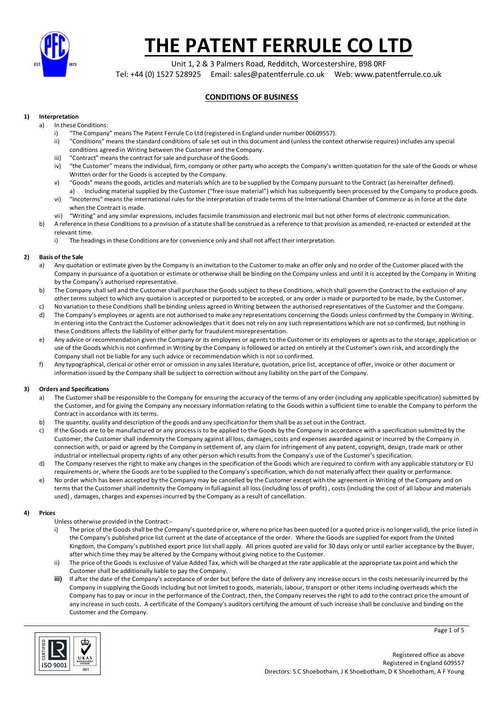

Unit 1, 2 & 3 Palmers Road, Redditch, Worcestershire, B98 0RF Tel: +44 (0) 1527 528925 Email: sales@patentferrule.co.uk Web: www.patentferrule.co.uk

## **CONDITIONS OF BUSINESS**

## **1) Interpretation**

- a) In these Conditions:
	- i) "The Company" means The Patent Ferrule Co Ltd (registered in England under number 00609557).
	- ii) "Conditions" means the standard conditions of sale set out in this document and (unless the context otherwise requires) includes any special conditions agreed in Writing between the Customer and the Company.
	- iii) "Contract" means the contract for sale and purchase of the Goods.
	- iv) "the Customer" means the individual, firm, company or other party who accepts the Company's written quotation for the sale of the Goods or whose Written order for the Goods is accepted by the Company.
	- v) "Goods" means the goods, articles and materials which are to be supplied by the Company pursuant to the Contract (as hereinafter defined). a) Including material supplied by the Customer ("free issue material") which has subsequently been processed by the Company to produce goods.
	- vi) "Incoterms" means the international rules for the interpretation of trade terms of the International Chamber of Commerce as in force at the date when the Contract is made.
	- vii) "Writing" and any similar expressions, includes facsimile transmission and electronic mail but not other forms of electronic communication.
	- b) A reference in these Conditions to a provision of a statute shall be construed as a reference to that provision as amended, re-enacted or extended at the relevant time.
		- i) The headings in these Conditions are for convenience only and shall not affect their interpretation.

### **2) Basis of the Sale**

- a) Any quotation or estimate given by the Company is an invitation to the Customer to make an offer only and no order of the Customer placed with the Company in pursuance of a quotation or estimate or otherwise shall be binding on the Company unless and until it is accepted by the Company in Writing by the Company's authorised representative.
- b) The Company shall sell and the Customer shall purchase the Goods subject to these Conditions, which shall govern the Contract to the exclusion of any other terms subject to which any quotaion is accepted or purported to be accepted, or any order is made or purported to be made, by the Customer.
- c) No variation to these Conditions shall be binding unless agreed in Writing between the authorised representatives of the Customer and the Company. d) The Company's employees or agents are not authorised to make any representations concerning the Goods unless confirmed by the Company in Writing. In entering into the Contract the Customer acknowledges that it does not rely on any such representations which are not so confirmed, but nothing in these Conditions affects the liability of either party for fraudulent misrepresentation.
- e) Any advice or recommendation given the Company or its employees or agents to the Customer or its employees or agents as to the storage, application or use of the Goods which is not confirmed in Writing by the Company is followed or acted on entirely at the Customer's own risk, and accordingly the Company shall not be liable for any such advice or recommendation which is not so confirmed.
- f) Any typographical, clerical or other error or omission in any sales literature, quotation, price list, acceptance of offer, invoice or other document or information issued by the Company shall be subject to correction without any liability on the part of the Company.

## **3) Orders and Specifications**

- a) The Customer shall be responsible to the Company for ensuring the accuracy of the terms of any order (including any applicable specification) submitted by the Customer, and for giving the Company any necessary information relating to the Goods within a sufficient time to enable the Company to perform the Contract in accordance with its terms.
- b) The quantity, quality and description of the goods and any specification for them shall be as set out in the Contract.
- c) If the Goods are to be manufactured or any process is to be applied to the Goods by the Company in accordance with a specification submitted by the Customer, the Customer shall indemnity the Company against all loss, damages, costs and expenses awarded against or incurred by the Company in connection with, or paid or agreed by the Company in settlement of, any claim for infringement of any patent, copyright, design, trade mark or other industrial or intellectual property rights of any other person which results from the Company's use of the Customer's specification.
- d) The Company reserves the right to make any changes in the specification of the Goods which are required to confirm with any applicable statutory or EU requirements or, where the Goods are to be supplied to the Company's specification, which do not materially affect their quality or performance.
- e) No order which has been accepted by the Company may be cancelled by the Customer except with the agreement in Writing of the Company and on terms that the Customer shall indemnity the Company in full against all loss (including loss of profit) , costs (including the cost of all labour and materials used) , damages, charges and expenses incurred by the Company as a result of cancellation.

### **4) Prices**

Unless otherwise provided in the Contract:-

- i) The price of the Goods shall be the Company's quoted price or, where no price has been quoted (or a quoted price is no longer valid), the price listed in the Company's published price list current at the date of acceptance of the order. Where the Goods are supplied for export from the United Kingdom, the Company's published export price list shall apply. All prices quoted are valid for 30 days only or until earlier acceptance by the Buyer, after which time they may be altered by the Company without giving notice to the Customer.
- ii) The price of the Goods is exclusive of Value Added Tax, which will be charged at the rate applicable at the appropriate tax point and which the Customer shall be additionally liable to pay the Company.
- **iii)** If after the date of the Company's acceptance of order but before the date of delivery any increase occurs in the costs necessarily incurred by the Company in supplying the Goods including but not limited to goods, materials, labour, transport or other items including overheads which the Company has to pay or incur in the performance of the Contract, then, the Company reserves the right to add to the contract price the amount of any increase in such costs. A certificate of the Company's auditors certifying the amount of such increase shall be conclusive and binding on the Customer and the Company.



Page 1 of 5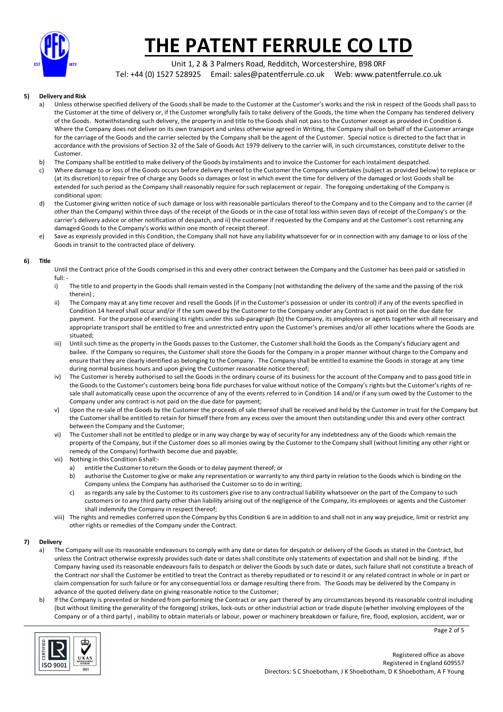

Unit 1, 2 & 3 Palmers Road, Redditch, Worcestershire, B98 0RF Tel: +44 (0) 1527 528925 Email: sales@patentferrule.co.uk Web: www.patentferrule.co.uk

### **5) Delivery and Risk**

- a) Unless otherwise specified delivery of the Goods shall be made to the Customer at the Customer's works and the risk in respect of the Goods shall pass to the Customer at the time of delivery or, if the Customer wrongfully fails to take delivery of the Goods, the time when the Company has tendered delivery of the Goods. Notwithstanding such delivery, the property in and title to the Goods shall not pass to the Customer except as provided in Condition 6. Where the Company does not deliver on its own transport and unless otherwise agreed in Writing, the Company shall on behalf of the Customer arrange for the carriage of the Goods and the carrier selected by the Company shall be the agent of the Customer. Special notice is directed to the fact that in accordance with the provisions of Section 32 of the Sale of Goods Act 1979 delivery to the carrier will, in such circumstances, constitute deliver to the Customer.
- b) The Company shall be entitled to make delivery of the Goods by instalments and to invoice the Customer for each instalment despatched.
- c) Where damage to or loss of the Goods occurs before delivery thereof to the Customer the Company undertakes (subject as provided below) to replace or (at its discretion) to repair free of charge any Goods so damages or lost in which event the time for delivery of the damaged or lost Goods shall be extended for such period as the Company shall reasonably require for such replacement or repair. The foregoing undertaking of the Company is conditional upon:
- d) the Customer giving written notice of such damage or loss with reasonable particulars thereof to the Company and to the Company and to the carrier (if other than the Company) within three days of the receipt of the Goods or in the case of total loss within seven days of receipt of the Company's or the carrier's delivery advice or other notification of despatch, and ii) the customer if requested by the Company and at the Customer's cost returning any damaged Goods to the Company's works within one month of receipt thereof.
- e) Save as expressly provided in this Condition, the Company shall not have any liability whatsoever for or in connection with any damage to or loss of the Goods in transit to the contracted place of delivery.

#### **6) Title**

Until the Contract price of the Goods comprised in this and every other contract between the Company and the Customer has been paid or satisfied in full: -

- i) The title to and property in the Goods shall remain vested in the Company (not withstanding the delivery of the same and the passing of the risk therein) ;
- ii) The Company may at any time recover and resell the Goods (if in the Customer's possession or under its control) if any of the events specified in Condition 14 hereof shall occur and/or if the sum owed by the Customer to the Company under any Contract is not paid on the due date for payment. For the purpose of exercising its rights under this sub-paragraph (b) the Company, its employees or agents together with all necessary and appropriate transport shall be entitled to free and unrestricted entry upon the Customer's premises and/or all other locations where the Goods are situated;
- iii) Until such time as the property in the Goods passes to the Customer, the Customer shall hold the Goods as the Company's fiduciary agent and bailee. If the Company so requires, the Customer shall store the Goods for the Company in a proper manner without charge to the Company and ensure that they are clearly identified as belonging to the Company. The Company shall be entitled to examine the Goods in storage at any time during normal business hours and upon giving the Customer reasonable notice thereof;
- iv) The Customer is hereby authorised to sell the Goods in the ordinary course of its business for the account of the Company and to pass good title in the Goods to the Customer's customers being bona fide purchases for value without notice of the Company's rights but the Customer's rights of resale shall automatically cease upon the occurrence of any of the events referred to in Condition 14 and/or if any sum owed by the Customer to the Company under any contract is not paid on the due date for payment;
- v) Upon the re-sale of the Goods by the Customer the proceeds of sale thereof shall be received and held by the Customer in trust for the Company but the Customer shall be entitled to retain for himself there from any excess over the amount then outstanding under this and every other contract between the Company and the Customer;
- vi) The Customer shall not be entitled to pledge or in any way charge by way of security for any indebtedness any of the Goods which remain the property of the Company, but if the Customer does so all monies owing by the Customer to the Company shall (without limiting any other right or remedy of the Company) forthwith become due and payable;
- vii) Nothing in this Condition 6 shall:
	- a) entitle the Customer to return the Goods or to delay payment thereof; or
	- b) authorise the Customer to give or make any representation or warranty to any third party in relation to the Goods which is binding on the Company unless the Company has authorised the Customer so to do in writing;
	- c) as regards any sale by the Customer to its customers give rise to any contractual liability whatsoever on the part of the Company to such customers or to any third party other than liability arising out of the negligence of the Company, its employees or agents and the Customer shall indemnify the Company in respect thereof;
- viii) The rights and remedies conferred upon the Company by this Condition 6 are in addition to and shall not in any way prejudice, limit or restrict any other rights or remedies of the Company under the Contract.

#### **7) Delivery**

- a) The Company will use its reasonable endeavours to comply with any date or dates for despatch or delivery of the Goods as stated in the Contract, but unless the Contract otherwise expressly provides such date or dates shall constitute only statements of expectation and shall not be binding. If the Company having used its reasonable endeavours fails to despatch or deliver the Goods by such date or dates, such failure shall not constitute a breach of the Contract nor shall the Customer be entitled to treat the Contract as thereby repudiated or to rescind it or any related contract in whole or in part or claim compensation for such failure or for any consequential loss or damage resulting there from. The Goods may be delivered by the Company in advance of the quoted delivery date on giving reasonable notice to the Customer;
- b) If the Company is prevented or hindered from performing the Contract or any part thereof by any circumstances beyond its reasonable control including (but without limiting the generality of the foregoing) strikes, lock-outs or other industrial action or trade dispute (whether involving employees of the Company or of a third party) , inability to obtain materials or labour, power or machinery breakdown or failure, fire, flood, explosion, accident, war or



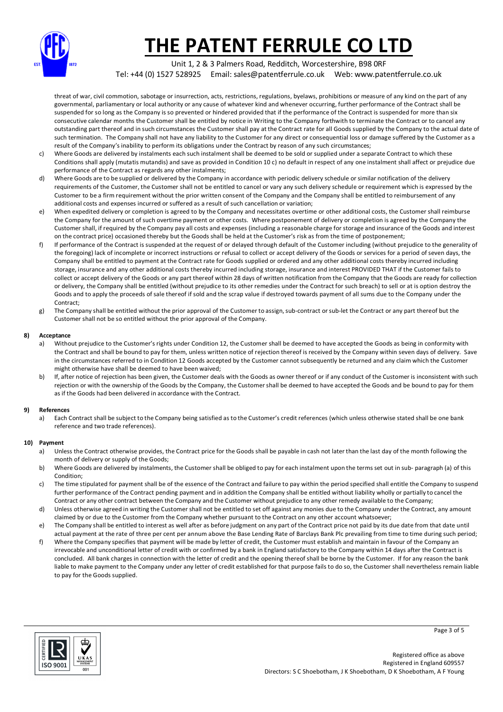

Unit 1, 2 & 3 Palmers Road, Redditch, Worcestershire, B98 0RF Tel: +44 (0) 1527 528925 Email: sales@patentferrule.co.uk Web: www.patentferrule.co.uk

threat of war, civil commotion, sabotage or insurrection, acts, restrictions, regulations, byelaws, prohibitions or measure of any kind on the part of any governmental, parliamentary or local authority or any cause of whatever kind and whenever occurring, further performance of the Contract shall be suspended for so long as the Company is so prevented or hindered provided that if the performance of the Contract is suspended for more than six consecutive calendar months the Customer shall be entitled by notice in Writing to the Company forthwith to terminate the Contract or to cancel any outstanding part thereof and in such circumstances the Customer shall pay at the Contract rate for all Goods supplied by the Company to the actual date of such termination. The Company shall not have any liability to the Customer for any direct or consequential loss or damage suffered by the Customer as a result of the Company's inability to perform its obligations under the Contract by reason of any such circumstances;

- c) Where Goods are delivered by instalments each such instalment shall be deemed to be sold or supplied under a separate Contract to which these Conditions shall apply (mutatis mutandis) and save as provided in Condition 10 c) no default in respect of any one instalment shall affect or prejudice due performance of the Contract as regards any other instalments;
- d) Where Goods are to be supplied or delivered by the Company in accordance with periodic delivery schedule or similar notification of the delivery requirements of the Customer, the Customer shall not be entitled to cancel or vary any such delivery schedule or requirement which is expressed by the Customer to be a firm requirement without the prior written consent of the Company and the Company shall be entitled to reimbursement of any additional costs and expenses incurred or suffered as a result of such cancellation or variation;
- e) When expedited delivery or completion is agreed to by the Company and necessitates overtime or other additional costs, the Customer shall reimburse the Company for the amount of such overtime payment or other costs. Where postponement of delivery or completion is agreed by the Company the Customer shall, if required by the Company pay all costs and expenses (including a reasonable charge for storage and insurance of the Goods and interest on the contract price) occasioned thereby but the Goods shall be held at the Customer's risk as from the time of postponement;
- f) If performance of the Contract is suspended at the request of or delayed through default of the Customer including (without prejudice to the generality of the foregoing) lack of incomplete or incorrect instructions or refusal to collect or accept delivery of the Goods or services for a period of seven days, the Company shall be entitled to payment at the Contract rate for Goods supplied or ordered and any other additional costs thereby incurred including storage, insurance and any other additional costs thereby incurred including storage, insurance and interest PROVIDED THAT if the Customer fails to collect or accept delivery of the Goods or any part thereof within 28 days of written notification from the Company that the Goods are ready for collection or delivery, the Company shall be entitled (without prejudice to its other remedies under the Contract for such breach) to sell or at is option destroy the Goods and to apply the proceeds of sale thereof if sold and the scrap value if destroyed towards payment of all sums due to the Company under the Contract;
- g) The Company shall be entitled without the prior approval of the Customer to assign, sub-contract or sub-let the Contract or any part thereof but the Customer shall not be so entitled without the prior approval of the Company.

### **8) Acceptance**

- a) Without prejudice to the Customer's rights under Condition 12, the Customer shall be deemed to have accepted the Goods as being in conformity with the Contract and shall be bound to pay for them, unless written notice of rejection thereof is received by the Company within seven days of delivery. Save in the circumstances referred to in Condition 12 Goods accepted by the Customer cannot subsequently be returned and any claim which the Customer might otherwise have shall be deemed to have been waived;
- b) If, after notice of rejection has been given, the Customer deals with the Goods as owner thereof or if any conduct of the Customer is inconsistent with such rejection or with the ownership of the Goods by the Company, the Customer shall be deemed to have accepted the Goods and be bound to pay for them as if the Goods had been delivered in accordance with the Contract.

## **9) References**

a) Each Contract shall be subject to the Company being satisfied as to the Customer's credit references (which unless otherwise stated shall be one bank reference and two trade references).

## **10) Payment**

- a) Unless the Contract otherwise provides, the Contract price for the Goods shall be payable in cash not later than the last day of the month following the month of delivery or supply of the Goods;
- b) Where Goods are delivered by instalments, the Customer shall be obliged to pay for each instalment upon the terms set out in sub- paragraph (a) of this Condition;
- c) The time stipulated for payment shall be of the essence of the Contract and failure to pay within the period specified shall entitle the Company to suspend further performance of the Contract pending payment and in addition the Company shall be entitled without liability wholly or partially to cancel the Contract or any other contract between the Company and the Customer without prejudice to any other remedy available to the Company;
- d) Unless otherwise agreed in writing the Customer shall not be entitled to set off against any monies due to the Company under the Contract, any amount claimed by or due to the Customer from the Company whether pursuant to the Contract on any other account whatsoever;
- e) The Company shall be entitled to interest as well after as before judgment on any part of the Contract price not paid by its due date from that date until actual payment at the rate of three per cent per annum above the Base Lending Rate of Barclays Bank Plc prevailing from time to time during such period;
- f) Where the Company specifies that payment will be made by letter of credit, the Customer must establish and maintain in favour of the Company an irrevocable and unconditional letter of credit with or confirmed by a bank in England satisfactory to the Company within 14 days after the Contract is concluded. All bank charges in connection with the letter of credit and the opening thereof shall be borne by the Customer. If for any reason the bank liable to make payment to the Company under any letter of credit established for that purpose fails to do so, the Customer shall nevertheless remain liable to pay for the Goods supplied.



Page 3 of 5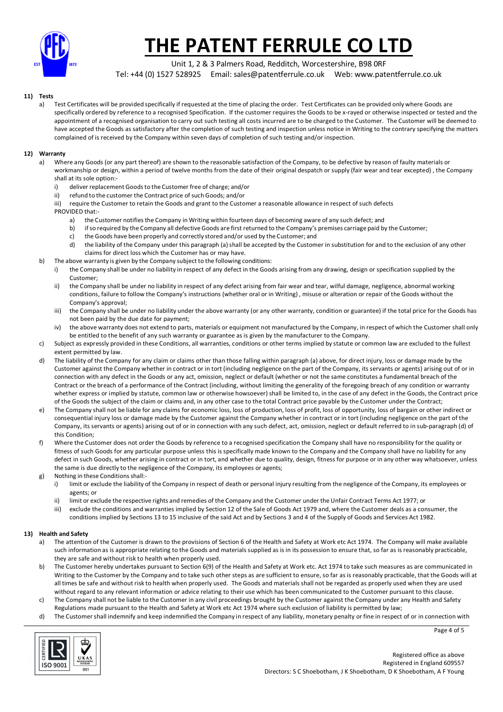

Unit 1, 2 & 3 Palmers Road, Redditch, Worcestershire, B98 0RF

Tel: +44 (0) 1527 528925 Email: sales@patentferrule.co.uk Web: www.patentferrule.co.uk

## **11) Tests**

a) Test Certificates will be provided specifically if requested at the time of placing the order. Test Certificates can be provided only where Goods are specifically ordered by reference to a recognised Specification. If the customer requires the Goods to be x-rayed or otherwise inspected or tested and the appointment of a recognised organisation to carry out such testing all costs incurred are to be charged to the Customer. The Customer will be deemed to have accepted the Goods as satisfactory after the completion of such testing and inspection unless notice in Writing to the contrary specifying the matters complained of is received by the Company within seven days of completion of such testing and/or inspection.

## **12) Warranty**

- a) Where any Goods (or any part thereof) are shown to the reasonable satisfaction of the Company, to be defective by reason of faulty materials or workmanship or design, within a period of twelve months from the date of their original despatch or supply (fair wear and tear excepted) , the Company shall at its sole option:
	- i) deliver replacement Goods to the Customer free of charge; and/or
	- ii) refund to the customer the Contract price of such Goods; and/or
	- iii) require the Customer to retain the Goods and grant to the Customer a reasonable allowance in respect of such defects PROVIDED that:
		- a) the Customer notifies the Company in Writing within fourteen days of becoming aware of any such defect; and
		- b) if so required by the Company all defective Goods are first returned to the Company's premises carriage paid by the Customer:
		- c) the Goods have been properly and correctly stored and/or used by the Customer; and
		- d) the liability of the Company under this paragraph (a) shall be accepted by the Customer in substitution for and to the exclusion of any other claims for direct loss which the Customer has or may have.
- b) The above warranty is given by the Company subject to the following conditions:
	- i) the Company shall be under no liability in respect of any defect in the Goods arising from any drawing, design or specification supplied by the Customer;
	- ii) the Company shall be under no liability in respect of any defect arising from fair wear and tear, wilful damage, negligence, abnormal working conditions, failure to follow the Company's instructions (whether oral or in Writing) , misuse or alteration or repair of the Goods without the Company's approval;
	- iii) the Company shall be under no liability under the above warranty (or any other warranty, condition or guarantee) if the total price for the Goods has not been paid by the due date for payment;
	- iv) the above warranty does not extend to parts, materials or equipment not manufactured by the Company, in respect of which the Customer shall only be entitled to the benefit of any such warranty or guarantee as is given by the manufacturer to the Company.
- c) Subject as expressly provided in these Conditions, all warranties, conditions or other terms implied by statute or common law are excluded to the fullest extent permitted by law.
- d) The liability of the Company for any claim or claims other than those falling within paragraph (a) above, for direct injury, loss or damage made by the Customer against the Company whether in contract or in tort (including negligence on the part of the Company, its servants or agents) arising out of or in connection with any defect in the Goods or any act, omission, neglect or default (whether or not the same constitutes a fundamental breach of the Contract or the breach of a performance of the Contract (including, without limiting the generality of the foregoing breach of any condition or warranty whether express or implied by statute, common law or otherwise howsoever) shall be limited to, in the case of any defect in the Goods, the Contract price of the Goods the subject of the claim or claims and, in any other case to the total Contract price payable by the Customer under the Contract;
- e) The Company shall not be liable for any claims for economic loss, loss of production, loss of profit, loss of opportunity, loss of bargain or other indirect or consequential injury loss or damage made by the Customer against the Company whether in contract or in tort (including negligence on the part of the Company, its servants or agents) arising out of or in connection with any such defect, act, omission, neglect or default referred to in sub-paragraph (d) of this Condition;
- f) Where the Customer does not order the Goods by reference to a recognised specification the Company shall have no responsibility for the quality or fitness of such Goods for any particular purpose unless this is specifically made known to the Company and the Company shall have no liability for any defect in such Goods, whether arising in contract or in tort, and whether due to quality, design, fitness for purpose or in any other way whatsoever, unless the same is due directly to the negligence of the Company, its employees or agents;
- g) Nothing in these Conditions shall:
	- i) limit or exclude the liability of the Company in respect of death or personal injury resulting from the negligence of the Company, its employees or agents; or
	- ii) limit or exclude the respective rights and remedies of the Company and the Customer under the Unfair Contract Terms Act 1977; or
	- iii) exclude the conditions and warranties implied by Section 12 of the Sale of Goods Act 1979 and, where the Customer deals as a consumer, the conditions implied by Sections 13 to 15 inclusive of the said Act and by Sections 3 and 4 of the Supply of Goods and Services Act 1982.

#### **13) Health and Safety**

- a) The attention of the Customer is drawn to the provisions of Section 6 of the Health and Safety at Work etc Act 1974. The Company will make available such information as is appropriate relating to the Goods and materials supplied as is in its possession to ensure that, so far as is reasonably practicable, they are safe and without risk to health when properly used.
- b) The Customer hereby undertakes pursuant to Section 6(9) of the Health and Safety at Work etc. Act 1974 to take such measures as are communicated in Writing to the Customer by the Company and to take such other steps as are sufficient to ensure, so far as is reasonably practicable, that the Goods will at all times be safe and without risk to health when properly used. The Goods and materials shall not be regarded as properly used when they are used without regard to any relevant information or advice relating to their use which has been communicated to the Customer pursuant to this clause.
- c) The Company shall not be liable to the Customer in any civil proceedings brought by the Customer against the Company under any Health and Safety Regulations made pursuant to the Health and Safety at Work etc Act 1974 where such exclusion of liability is permitted by law;
- d) The Customer shall indemnify and keep indemnified the Company in respect of any liability, monetary penalty or fine in respect of or in connection with

Page 4 of 5